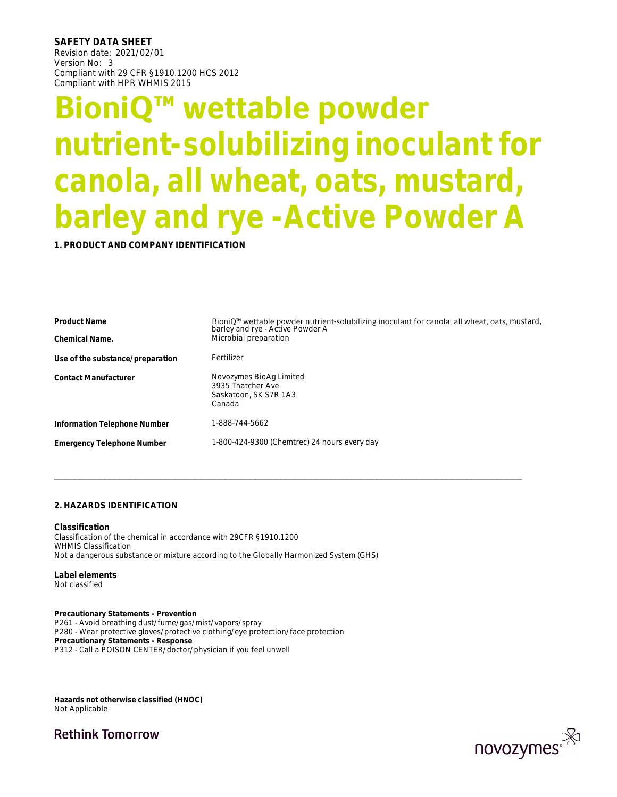**SAFETY DATA SHEET**  Revision date: 2021/02/01 Version No: 3 Compliant with 29 CFR §1910.1200 HCS 2012 Compliant with HPR WHMIS 2015

# **BioniQ™ wettable powder nutrient-solubilizing inoculant for canola, all wheat, oats, mustard, barley and rye -Active Powder A**

**1. PRODUCT AND COMPANY IDENTIFICATION**

| <b>Product Name</b>                                                                  | BioniQ <sup>™</sup> wettable powder nutrient-solubilizing inoculant for canola, all wheat, oats, mustard,<br>barley and rye - Active Powder A |
|--------------------------------------------------------------------------------------|-----------------------------------------------------------------------------------------------------------------------------------------------|
| Chemical Name.                                                                       | Microbial preparation                                                                                                                         |
| Use of the substance/preparation                                                     | Fertilizer                                                                                                                                    |
| <b>Contact Manufacturer</b>                                                          | Novozymes BioAg Limited<br>3935 Thatcher Ave<br>Saskatoon, SK S7R 1A3<br>Canada                                                               |
| Information Telephone Number                                                         | 1-888-744-5662                                                                                                                                |
| <b>Emergency Telephone Number</b>                                                    | 1-800-424-9300 (Chemtrec) 24 hours every day                                                                                                  |
| 2. HAZARDS IDENTIFICATION                                                            |                                                                                                                                               |
| Classification<br>Classification of the chemical in accordance with 29CFR §1910.1200 |                                                                                                                                               |

**Classification** Classification of the chemical in accordance with 29CFR §1910.1200 WHMIS Classification Not a dangerous substance or mixture according to the Globally Harmonized System (GHS)

**Label elements**  Not classified

**Precautionary Statements - Prevention** P261 - Avoid breathing dust/fume/gas/mist/vapors/spray P280 - Wear protective gloves/protective clothing/eye protection/face protection **Precautionary Statements - Response** P312 - Call a POISON CENTER/doctor/physician if you feel unwell

**Hazards not otherwise classified (HNOC)**  Not Applicable

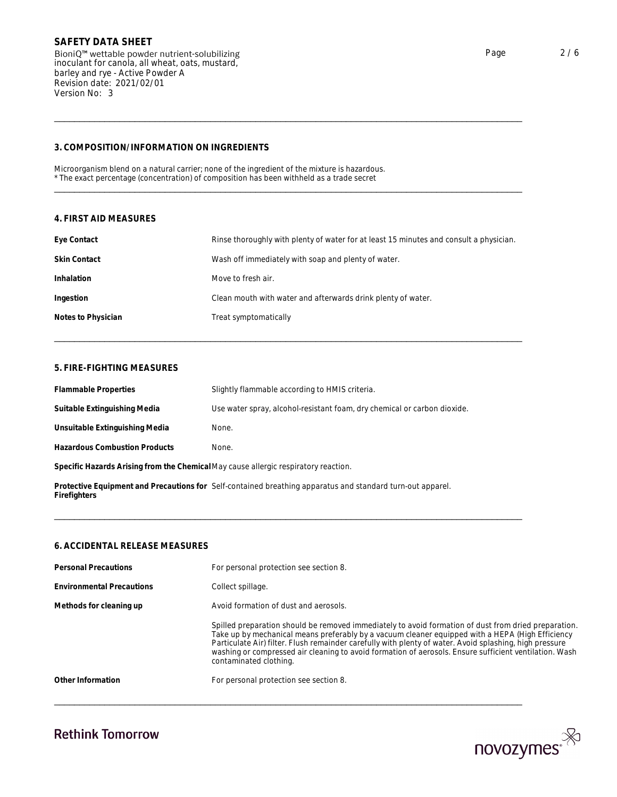| Revision date: 2021/02/01<br>Version No: 3 |                                                                                                                                                                                            |
|--------------------------------------------|--------------------------------------------------------------------------------------------------------------------------------------------------------------------------------------------|
| 3. COMPOSITION/INFORMATION ON INGREDIENTS  |                                                                                                                                                                                            |
|                                            | Microorganism blend on a natural carrier; none of the ingredient of the mixture is hazardous.<br>* The exact percentage (concentration) of composition has been withheld as a trade secret |
| 4. FIRST AID MEASURES                      |                                                                                                                                                                                            |
| Eye Contact                                | Rinse thoroughly with plenty of water for at least 15 minutes and consult a physician.                                                                                                     |
| <b>Skin Contact</b>                        | Wash off immediately with soap and plenty of water.                                                                                                                                        |
| Inhalation                                 | Move to fresh air.                                                                                                                                                                         |
| Ingestion                                  | Clean mouth with water and afterwards drink plenty of water.                                                                                                                               |
| Notes to Physician                         | Treat symptomatically                                                                                                                                                                      |
| 5. FIRE-FIGHTING MEASURES                  |                                                                                                                                                                                            |
| <b>Flammable Properties</b>                | Slightly flammable according to HMIS criteria.                                                                                                                                             |
|                                            |                                                                                                                                                                                            |

| <b>Flammable Properties</b>                                                                                                | Slightly flammable according to HMIS criteria.                           |  |
|----------------------------------------------------------------------------------------------------------------------------|--------------------------------------------------------------------------|--|
| Suitable Extinguishing Media                                                                                               | Use water spray, alcohol-resistant foam, dry chemical or carbon dioxide. |  |
| Unsuitable Extinguishing Media                                                                                             | None.                                                                    |  |
| <b>Hazardous Combustion Products</b>                                                                                       | None.                                                                    |  |
| Specific Hazards Arising from the Chemical May cause allergic respiratory reaction.                                        |                                                                          |  |
| Protective Equipment and Precautions for Self-contained breathing apparatus and standard turn-out apparel.<br>Firefighters |                                                                          |  |
|                                                                                                                            |                                                                          |  |
| 6. ACCIDENTAL RELEASE MEASURES                                                                                             |                                                                          |  |
| Personal Precautions                                                                                                       | For personal protection see section 8.                                   |  |
| _ _ .                                                                                                                      |                                                                          |  |

| <b>Personal Precautions</b>      | For personal protection see section 8.                                                                                                                                                                                                                                                                                                                                                                                                                  |
|----------------------------------|---------------------------------------------------------------------------------------------------------------------------------------------------------------------------------------------------------------------------------------------------------------------------------------------------------------------------------------------------------------------------------------------------------------------------------------------------------|
| <b>Environmental Precautions</b> | Collect spillage.                                                                                                                                                                                                                                                                                                                                                                                                                                       |
| Methods for cleaning up          | Avoid formation of dust and aerosols.                                                                                                                                                                                                                                                                                                                                                                                                                   |
|                                  | Spilled preparation should be removed immediately to avoid formation of dust from dried preparation.<br>Take up by mechanical means preferably by a vacuum cleaner equipped with a HEPA (High Efficiency<br>Particulate Air) filter. Flush remainder carefully with plenty of water. Avoid splashing, high pressure<br>washing or compressed air cleaning to avoid formation of aerosols. Ensure sufficient ventilation. Wash<br>contaminated clothing. |
| Other Information                | For personal protection see section 8.                                                                                                                                                                                                                                                                                                                                                                                                                  |

\_\_\_\_\_\_\_\_\_\_\_\_\_\_\_\_\_\_\_\_\_\_\_\_\_\_\_\_\_\_\_\_\_\_\_\_\_\_\_\_\_\_\_\_\_\_\_\_\_\_\_\_\_\_\_\_\_\_\_\_\_\_\_\_\_\_\_\_\_\_\_\_\_\_\_\_\_\_\_\_\_\_\_\_\_\_\_\_\_\_\_\_\_

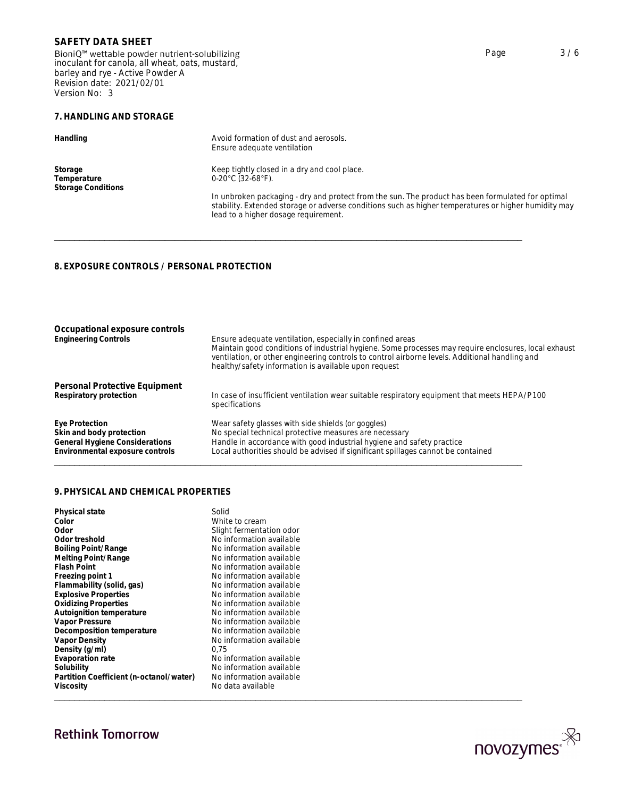BioniQ™ wettable powder nutrient-solubilizing inoculant for canola, all wheat, oats, mustard, barley and rye - Active Powder A Revision date: 2021/02/01 Version No: 3

### **7. HANDLING AND STORAGE**

| Handling                                            | Avoid formation of dust and aerosols.<br>Ensure adequate ventilation                                                                                                                                                                                                                                                                        |  |
|-----------------------------------------------------|---------------------------------------------------------------------------------------------------------------------------------------------------------------------------------------------------------------------------------------------------------------------------------------------------------------------------------------------|--|
| Storage<br>Temperature<br><b>Storage Conditions</b> | Keep tightly closed in a dry and cool place.<br>$0-20^{\circ}$ C (32-68 $^{\circ}$ F).<br>In unbroken packaging - dry and protect from the sun. The product has been formulated for optimal<br>stability. Extended storage or adverse conditions such as higher temperatures or higher humidity may<br>lead to a higher dosage requirement. |  |
| 8. EXPOSURE CONTROLS / PERSONAL PROTECTION          |                                                                                                                                                                                                                                                                                                                                             |  |

| Occupational exposure controls<br><b>Engineering Controls</b>                                 | Ensure adequate ventilation, especially in confined areas<br>Maintain good conditions of industrial hygiene. Some processes may require enclosures, local exhaust<br>ventilation, or other engineering controls to control airborne levels. Additional handling and<br>healthy/safety information is available upon request |
|-----------------------------------------------------------------------------------------------|-----------------------------------------------------------------------------------------------------------------------------------------------------------------------------------------------------------------------------------------------------------------------------------------------------------------------------|
| Personal Protective Equipment                                                                 |                                                                                                                                                                                                                                                                                                                             |
| Respiratory protection                                                                        | In case of insufficient ventilation wear suitable respiratory equipment that meets HEPA/P100<br>specifications                                                                                                                                                                                                              |
| Eye Protection                                                                                | Wear safety glasses with side shields (or goggles)                                                                                                                                                                                                                                                                          |
| Skin and body protection<br>General Hygiene Considerations<br>Environmental exposure controls | No special technical protective measures are necessary<br>Handle in accordance with good industrial hygiene and safety practice<br>Local authorities should be advised if significant spillages cannot be contained                                                                                                         |
| 9. PHYSICAL AND CHEMICAL PROPERTIES                                                           |                                                                                                                                                                                                                                                                                                                             |
| Physical state                                                                                | Solid                                                                                                                                                                                                                                                                                                                       |
| Color<br>$0$ dor                                                                              | White to cream<br>Cliebt formantation ador                                                                                                                                                                                                                                                                                  |

| Physical state                          | Solid                    |
|-----------------------------------------|--------------------------|
| Color                                   | White to cream           |
| Odor                                    | Slight fermentation odor |
| Odor treshold                           | No information available |
| Boiling Point/Range                     | No information available |
| Melting Point/Range                     | No information available |
| Flash Point                             | No information available |
| Freezing point 1                        | No information available |
| Flammability (solid, gas)               | No information available |
| <b>Explosive Properties</b>             | No information available |
| <b>Oxidizing Properties</b>             | No information available |
| Autoignition temperature                | No information available |
| Vapor Pressure                          | No information available |
| Decomposition temperature               | No information available |
| Vapor Density                           | No information available |
| Density (g/ml)                          | 0,75                     |
| Evaporation rate                        | No information available |
| Solubility                              | No information available |
| Partition Coefficient (n-octanol/water) | No information available |
| Viscosity                               | No data available        |

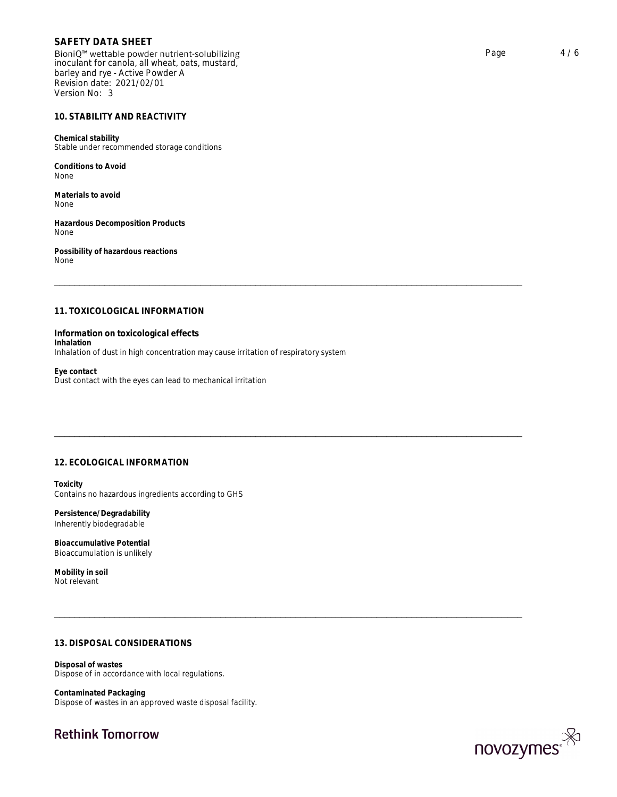BioniQ™ wettable powder nutrient-solubilizing inoculant for canola, all wheat, oats, mustard, barley and rye - Active Powder A Revision date: 2021/02/01 Version No: 3

### **10. STABILITY AND REACTIVITY**

**Chemical stability** Stable under recommended storage conditions

**Conditions to Avoid** None

**Materials to avoid** None

**Hazardous Decomposition Products** None

**Possibility of hazardous reactions** None

Materials to avoid<br>Materials to avoid<br>Hazardous Decomposition Products<br>Possibility of hazardous reactions<br>None<br>Theorem of the Sales of the Sales of the Sales of the Sales of the Sales of the Sales of the Sales of the Sales **Information on toxicological effects Inhalation** Inhalation of dust in high concentration may cause irritation of respiratory system Information on toxicological effects<br>Inhalation<br>Inhalation<br>Eye contact<br>Eye contact<br>With the eyes can lead to mechanical irritation<br>Dust contact with the eyes can lead to mechanical irritation<br>12. ECOLOGICAL INFORMATION<br>Tox

**Eye contact** Dust contact with the eyes can lead to mechanical irritation

**Toxicity**  Contains no hazardous ingredients according to GHS

**Persistence/Degradability**  Inherently biodegradable

**Bioaccumulative Potential**  Bioaccumulation is unlikely

**Mobility in soil** Not relevant

Persistence/Degradability<br>Inherently biodegradable<br>Bioaccumulation is unlikely<br>Bioaccumulation is unlikely<br>Mobility in soil<br>10th of relevant<br>Disposal of wastes<br>Disposal of wastes<br>Dispose of in accordance with local regulat **Disposal of wastes** Dispose of in accordance with local regulations.

**Contaminated Packaging** Dispose of wastes in an approved waste disposal facility.

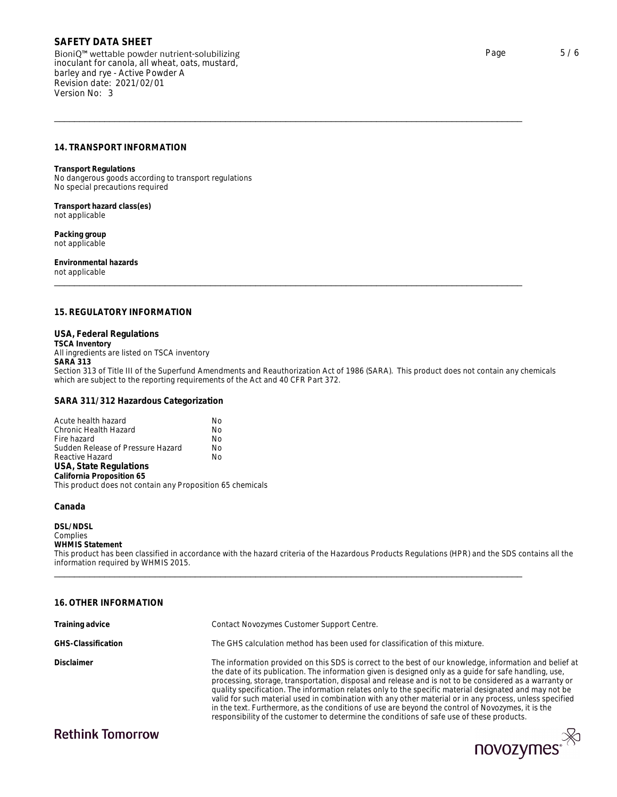BioniQ™ wettable powder nutrient-solubilizing inoculant for canola, all wheat, oats, mustard, barley and rye - Active Powder A Revision date: 2021/02/01 Version No: 3  $\begin{tabular}{l|l|l|} \multicolumn{1}{l}{\textbf{SAFETY DATA SHEET}}\\ \hline \textbf{BioniQ}^{\text{m}} \text{wettable powder nutrient-solubilizing} & \textbf{Page} & \textbf{5}\ /6\\ \textbf{inocular for canola, all wheat, oats, mustard,} \\ \textbf{Revision date: } 2021/02/01 & \textbf{Revision date: } 2021/02/01 & \textbf{Nevision No: 3} \\ \hline \end{tabular}$ 

**Transport Regulations** No dangerous goods according to transport regulations No special precautions required

**Transport hazard class(es)** not applicable

**Packing group** not applicable

**Environmental hazards** not applicable

riansport regulations<br>No dangerous goods according to transport regulations<br>No special precautions required<br>ont applicable<br>proximizations<br>and applicable<br>mort applicable<br>Exching group<br>not applicable<br>ont applicable<br>and appli **USA, Federal Regulations TSCA Inventory** All ingredients are listed on TSCA inventory **SARA 313** Section 313 of Title III of the Superfund Amendments and Reauthorization Act of 1986 (SARA). This product does not contain any chemicals which are subject to the reporting requirements of the Act and 40 CFR Part 372.

**SARA 311/312 Hazardous Categorization**

| Acute health hazard                                        | Nο |  |
|------------------------------------------------------------|----|--|
| Chronic Health Hazard                                      | No |  |
| Fire hazard                                                | No |  |
| Sudden Release of Pressure Hazard                          | No |  |
| Reactive Hazard                                            | No |  |
| USA, State Regulations                                     |    |  |
| California Proposition 65                                  |    |  |
| This product does not contain any Proposition 65 chemicals |    |  |
|                                                            |    |  |

**Canada** 

**DSL/NDSL** Complies **WHMIS Statement** This product has been classified in accordance with the hazard criteria of the Hazardous Products Regulations (HPR) and the SDS contains all the information required by WHMIS 2015. USA, State Regulations<br>California Proposition 65<br>This product does not contain any Proposition 65 chemicals<br>Canada<br>OSL/NDSL<br>Complies<br>This Statement<br>This product has been classified in accordance with the hazard criteria of

| Training advice    | Contact Novozymes Customer Support Centre.                                                                                                                                                                                                                                                                                                                                                                                                                                                                                                                                                                                                                                                                                                         |
|--------------------|----------------------------------------------------------------------------------------------------------------------------------------------------------------------------------------------------------------------------------------------------------------------------------------------------------------------------------------------------------------------------------------------------------------------------------------------------------------------------------------------------------------------------------------------------------------------------------------------------------------------------------------------------------------------------------------------------------------------------------------------------|
| GHS-Classification | The GHS calculation method has been used for classification of this mixture.                                                                                                                                                                                                                                                                                                                                                                                                                                                                                                                                                                                                                                                                       |
| Disclaimer         | The information provided on this SDS is correct to the best of our knowledge, information and belief at<br>the date of its publication. The information given is designed only as a quide for safe handling, use,<br>processing, storage, transportation, disposal and release and is not to be considered as a warranty or<br>quality specification. The information relates only to the specific material designated and may not be<br>valid for such material used in combination with any other material or in any process, unless specified<br>in the text. Furthermore, as the conditions of use are beyond the control of Novozymes, it is the<br>responsibility of the customer to determine the conditions of safe use of these products. |